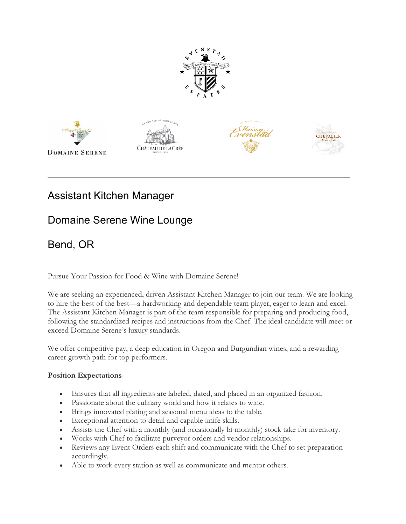









# Assistant Kitchen Manager

## Domaine Serene Wine Lounge

## Bend, OR

Pursue Your Passion for Food & Wine with Domaine Serene!

We are seeking an experienced, driven Assistant Kitchen Manager to join our team. We are looking to hire the best of the best—a hardworking and dependable team player, eager to learn and excel. The Assistant Kitchen Manager is part of the team responsible for preparing and producing food, following the standardized recipes and instructions from the Chef. The ideal candidate will meet or exceed Domaine Serene's luxury standards.

We offer competitive pay, a deep education in Oregon and Burgundian wines, and a rewarding career growth path for top performers.

### **Position Expectations**

- Ensures that all ingredients are labeled, dated, and placed in an organized fashion.
- Passionate about the culinary world and how it relates to wine.
- Brings innovated plating and seasonal menu ideas to the table.
- Exceptional attention to detail and capable knife skills.
- Assists the Chef with a monthly (and occasionally bi-monthly) stock take for inventory.
- Works with Chef to facilitate purveyor orders and vendor relationships.
- Reviews any Event Orders each shift and communicate with the Chef to set preparation accordingly.
- Able to work every station as well as communicate and mentor others.